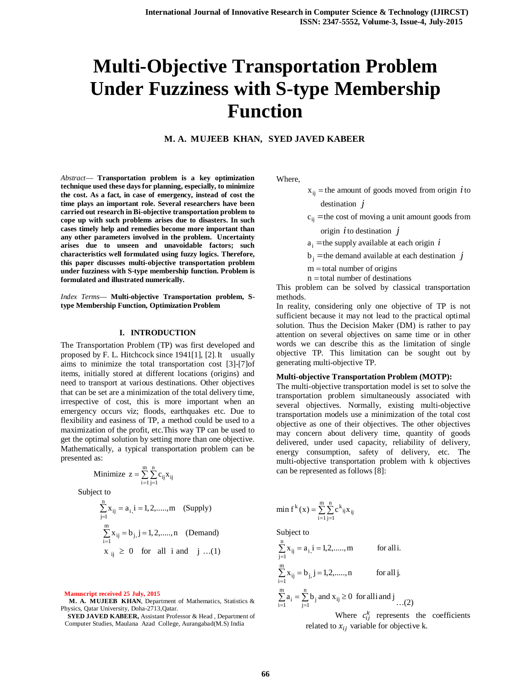# **Multi-Objective Transportation Problem Under Fuzziness with S-type Membership Function**

# **M. A. MUJEEB KHAN, SYED JAVED KABEER**

*Abstract*— **Transportation problem is a key optimization technique used these days for planning, especially, to minimize the cost. As a fact, in case of emergency, instead of cost the time plays an important role. Several researchers have been carried out research in Bi-objective transportation problem to cope up with such problems arises due to disasters. In such cases timely help and remedies become more important than any other parameters involved in the problem. Uncertainty arises due to unseen and unavoidable factors; such characteristics well formulated using fuzzy logics. Therefore, this paper discusses multi-objective transportation problem under fuzziness with S-type membership function. Problem is formulated and illustrated numerically.**

*Index Terms*— **Multi-objective Transportation problem, Stype Membership Function, Optimization Problem**

#### **I. INTRODUCTION**

The Transportation Problem (TP) was first developed and proposed by F. L. Hitchcock since 1941[1], [2].It usually aims to minimize the total transportation cost [3]-[7]of items, initially stored at different locations (origins) and need to transport at various destinations. Other objectives that can be set are a minimization of the total delivery time, irrespective of cost, this is more important when an emergency occurs viz; floods, earthquakes etc. Due to flexibility and easiness of TP, a method could be used to a maximization of the profit, etc.This way TP can be used to get the optimal solution by setting more than one objective. Mathematically, a typical transportation problem can be presented as:

Minimize 
$$
z = \sum_{i=1}^{m} \sum_{j=1}^{n} c_{ij} x_{ij}
$$
  
Subject to

$$
\sum_{j=1}^{n} x_{ij} = a_{i,1} = 1, 2, \dots, m \quad \text{(Supply)}
$$
\n
$$
\sum_{i=1}^{m} x_{ij} = b_{j,1} = 1, 2, \dots, n \quad \text{(Demand)}
$$
\n
$$
x_{ij} \ge 0 \quad \text{for all } i \text{ and } j \dots (1)
$$

**Manuscript received 25 July, 2015**

**M. A. MUJEEB KHAN**, Department of Mathematics, Statistics & Physics, Qatar University, Doha-2713,Qatar.

**SYED JAVED KABEER,** Assistant Professor & Head , Department of Computer Studies, Maulana Azad College, Aurangabad(M.S) India

Where,

- $x_{ij}$  = the amount of goods moved from origin *i* to destination *j*
- $c_{ii}$  = the cost of moving a unit amount goods from

#### origin *i*to destination *j*

- $a_i$  = the supply available at each origin *i*
- $b_i$  = the demand available at each destination *j*
- $m =$ total number of origins
- $n =$ total number of destinations

This problem can be solved by classical transportation methods.

In reality, considering only one objective of TP is not sufficient because it may not lead to the practical optimal solution. Thus the Decision Maker (DM) is rather to pay attention on several objectives on same time or in other words we can describe this as the limitation of single objective TP. This limitation can be sought out by generating multi-objective TP.

#### **Multi-objective Transportation Problem (MOTP):**

The multi-objective transportation model is set to solve the transportation problem simultaneously associated with several objectives. Normally, existing multi-objective transportation models use a minimization of the total cost objective as one of their objectives. The other objectives may concern about delivery time, quantity of goods delivered, under used capacity, reliability of delivery, energy consumption, safety of delivery, etc. The multi-objective transportation problem with k objectives can be represented as follows [8]:

min f<sup>k</sup>(x) = 
$$
\sum_{i=1}^{m} \sum_{j=1}^{n} c^{k}_{ij} x_{ij}
$$

Subject to

$$
\sum_{j=1}^{n} x_{ij} = a_{i,i} = 1,2, \dots, m \qquad \text{for all } i.
$$
\n
$$
\sum_{i=1}^{m} x_{ij} = b_{j,i} = 1,2, \dots, n \qquad \text{for all } j.
$$
\n
$$
\sum_{i=1}^{m} a_{i} = \sum_{j=1}^{n} b_{j} \text{ and } x_{ij} \ge 0 \text{ for all } i \text{ and } j \dots (2)
$$

Where  $c_{ij}^k$  represents the coefficients related to  $x_{ij}$  variable for objective k.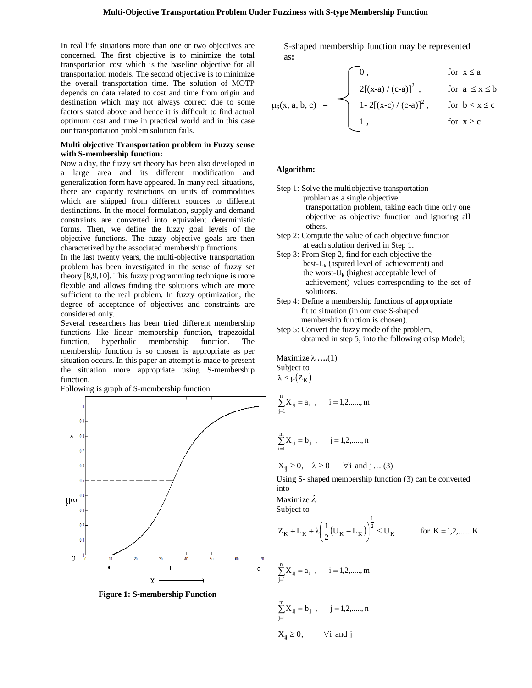In real life situations more than one or two objectives are concerned. The first objective is to minimize the total transportation cost which is the baseline objective for all transportation models. The second objective is to minimize the overall transportation time. The solution of MOTP depends on data related to cost and time from origin and destination which may not always correct due to some factors stated above and hence it is difficult to find actual optimum cost and time in practical world and in this case our transportation problem solution fails.

### **Multi objective Transportation problem in Fuzzy sense with S-membership function:**

Now a day, the fuzzy set theory has been also developed in a large area and its different modification and generalization form have appeared. In many real situations, there are capacity restrictions on units of commodities which are shipped from different sources to different destinations. In the model formulation, supply and demand constraints are converted into equivalent deterministic forms. Then, we define the fuzzy goal levels of the objective functions. The fuzzy objective goals are then characterized by the associated membership functions.

In the last twenty years, the multi-objective transportation problem has been investigated in the sense of fuzzy set theory [8,9,10]. This fuzzy programming technique is more flexible and allows finding the solutions which are more sufficient to the real problem. In fuzzy optimization, the degree of acceptance of objectives and constraints are considered only.

Several researchers has been tried different membership functions like linear membership function, trapezoidal function, hyperbolic membership function. The membership function is so chosen is appropriate as per situation occurs. In this paper an attempt is made to present the situation more appropriate using S-membership function.

Following is graph of S-membership function



**Figure 1: S-membership Function**

S-shaped membership function may be represented as**:**

$$
\mu_S(x, a, b, c) = \begin{cases} 0, & \text{for } x \le a \\ 2[(x-a)/(c-a)]^2, & \text{for } a \le x \le b \\ 1 - 2[(x-c)/(c-a)]^2, & \text{for } b < x \le c \\ 1, & \text{for } x \ge c \end{cases}
$$

# **Algorithm:**

- Step 1: Solve the multiobjective transportation problem as a single objective transportation problem, taking each time only one objective as objective function and ignoring all others.
- Step 2: Compute the value of each objective function at each solution derived in Step 1.
- Step 3: From Step 2, find for each objective the best- $L_k$  (aspired level of achievement) and the worst- $U_k$  (highest acceptable level of achievement) values corresponding to the set of solutions.
- Step 4: Define a membership functions of appropriate fit to situation (in our case S-shaped membership function is chosen).
- Step 5: Convert the fuzzy mode of the problem, obtained in step 5, into the following crisp Model;

Maximize  $\lambda$  ....(1) Subject to  $\lambda \leq \mu(Z_K)$ 

$$
\sum_{j=1}^n X_{ij} = a_i \;\; , \quad \ \ i=1,2,......,m
$$

$$
\sum_{i=1}^{m} X_{ij} = b_j , \qquad j = 1, 2, \dots, n
$$

$$
X_{ij} \ge 0, \quad \lambda \ge 0 \qquad \forall i \text{ and } j \dots (3)
$$

Using S- shaped membership function (3) can be converted into

Maximize  $\lambda$ 

Subject to

$$
Z_K + L_K + \lambda \left(\frac{1}{2}(U_K - L_K)\right)^{\frac{1}{2}} \le U_K
$$
 for  $K = 1, 2, \dots, K$ 

$$
\sum_{j=1}^{n} X_{ij} = a_i , \qquad i = 1, 2, \dots, m
$$

$$
\sum_{j=1}^{m} X_{ij} = b_j , \qquad j = 1, 2, \dots, n
$$
  

$$
X_{ij} \ge 0, \qquad \forall i \text{ and } j
$$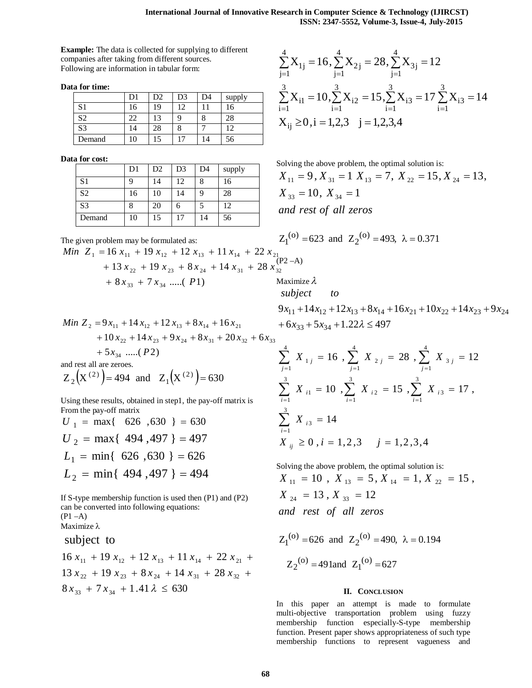3

 $j=1$ 

4

 $i = 1$ 

**Example:** The data is collected for supplying to different companies after taking from different sources. Following are information in tabular form:

**Data for time:**

|                | )1 | D2 | D3   | D4 | supply |
|----------------|----|----|------|----|--------|
| S1             | 16 | 19 | 1. 1 |    | 16     |
| S2             | 22 | 3  |      | Ω  | 28     |
| S <sub>3</sub> | 14 | 28 | Ο    |    | 10     |
| Demand         | 10 | 15 |      | 14 | 56     |

**Data for cost:**

|                | D1 | D2 | D <sub>3</sub> | D <sub>4</sub> | supply |
|----------------|----|----|----------------|----------------|--------|
| S1             |    | 14 | 12             | 8              | 16     |
| S <sub>2</sub> | 16 | 10 | 14             |                | 28     |
| S <sub>3</sub> |    | 20 | n              |                | 12     |
| Demand         | 10 | 15 | 17             | 14             | 56     |

Solving the above problem, the optimal solution is:  $X_{11} = 9, X_{31} = 1 \ X_{13} = 7, X_{22} = 15, X_{24} = 13,$ 

 $Z_1^{(0)} = 623$  and  $Z_2^{(0)} = 493$ ,  $\lambda = 0.371$ 

 $X_{1i} = 16, \sum X_{2i} = 28, \sum X_{3i} = 12$ 

2 j

 $\sum X_{1j} = 16$ ,  $\sum X_{2j} = 28$ ,  $\sum X_{3j} =$ 

i2

 $=1$   $i=1$   $i=1$   $i=$ 

 $X_{i1} = 10, \sum X_{i2} = 15, \sum X_{i3} = 17 \sum X_{i3} = 14$ 

 $\sum X_{i1} = 10, \sum X_{i2} = 15, \sum X_{i3} = 17 \sum X_{i3} =$ 

 $i = 1$ 

i3

3j

3

4

 $j=1$ 

3

 $i = 1$ 

i3

*and rest of all zeros*  $X_{33} = 10, X_{34} = 1$ 

 $X_{ij} \ge 0, i = 1,2,3 \quad j = 1,2,3,4$ 

3

4

 $j=1$ 

 $=1$   $j=1$   $j=$ 

 $i = 1$ 

The given problem may be formulated as:

$$
Min \ Z_1 = 16 x_{11} + 19 x_{12} + 12 x_{13} + 11 x_{14} + 22 x_{21} + 13 x_{22} + 19 x_{23} + 8 x_{24} + 14 x_{31} + 28 x_{32}^{(P2-A)} + 8 x_{33} + 7 x_{34} \dots (P1)
$$
\nMaximize  $\lambda$ 

Min 
$$
Z_2 = 9x_{11} + 14x_{12} + 12x_{13} + 8x_{14} + 16x_{21}
$$
  
+  $10x_{22} + 14x_{23} + 9x_{24} + 8x_{31} + 20x_{32} + 6x_{33}$   
+  $5x_{34}$  ......(P2)

and rest all are zeroes.

$$
Z_2(X^{(2)}) = 494
$$
 and  $Z_1(X^{(2)}) = 630$ 

Using these results, obtained in step1, the pay-off matrix is From the pay-off matrix

$$
U_1 = \max\{626, 630\} = 630
$$
  
\n
$$
U_2 = \max\{494, 497\} = 497
$$
  
\n
$$
L_1 = \min\{626, 630\} = 626
$$
  
\n
$$
L_2 = \min\{494, 497\} = 494
$$

If S-type membership function is used then (P1) and (P2) can be converted into following equations:  $(P1 - A)$ Maximize λ

subject to

$$
16 x_{11} + 19 x_{12} + 12 x_{13} + 11 x_{14} + 22 x_{21} + 13 x_{22} + 19 x_{23} + 8 x_{24} + 14 x_{31} + 28 x_{32} + 8 x_{33} + 7 x_{34} + 1.41 \lambda \le 630
$$

subject to  
\n
$$
9x_{11} + 14x_{12} + 12x_{13} + 8x_{14} + 16x_{21} + 10x_{22} + 14x_{23} + 9x_{24}
$$
\n
$$
+ 6x_{33} + 5x_{34} + 1.22\lambda \le 497
$$

$$
\sum_{j=1}^{4} X_{1j} = 16 , \sum_{j=1}^{4} X_{2j} = 28 , \sum_{j=1}^{4} X_{3j} = 12
$$
  

$$
\sum_{i=1}^{3} X_{i1} = 10 , \sum_{i=1}^{3} X_{i2} = 15 , \sum_{i=1}^{3} X_{i3} = 17 ,
$$
  

$$
\sum_{i=1}^{3} X_{i3} = 14
$$
  

$$
X_{ij} \ge 0 , i = 1, 2, 3, j = 1, 2, 3, 4
$$

Solving the above problem, the optimal solution is: *and rest of all zeros*  $X_{24} = 13$ ,  $X_{33} = 12$  $X_{11} = 10$ ,  $X_{13} = 5$ ,  $X_{14} = 1$ ,  $X_{22} = 15$ ,

$$
Z_1^{(o)} = 626
$$
 and  $Z_2^{(o)} = 490$ ,  $\lambda = 0.194$   
 $Z_2^{(o)} = 491$  and  $Z_1^{(o)} = 627$ 

# **II. CONCLUSION**

In this paper an attempt is made to formulate multi-objective transportation problem using fuzzy membership function especially-S-type membership function. Present paper shows appropriateness of such type membership functions to represent vagueness and